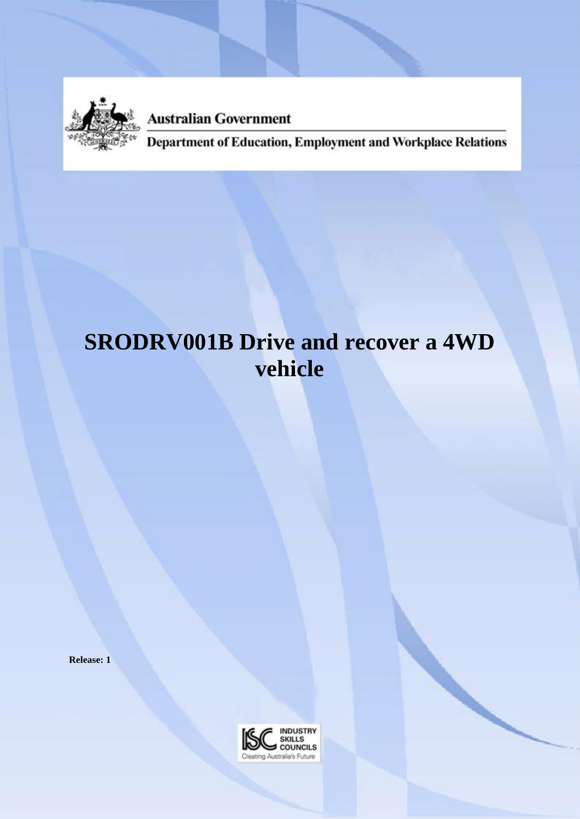

**Australian Government** 

Department of Education, Employment and Workplace Relations

# **SRODRV001B Drive and recover a 4WD vehicle**

**Release: 1**

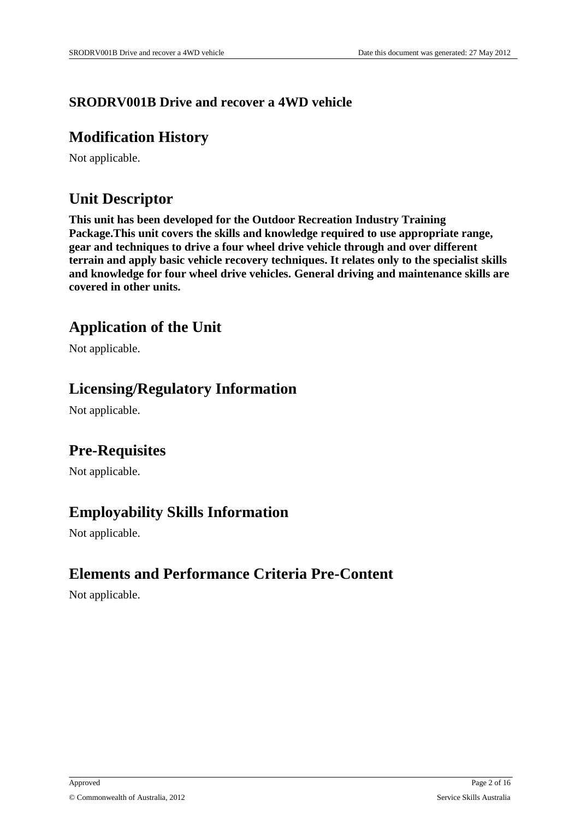### **SRODRV001B Drive and recover a 4WD vehicle**

### **Modification History**

Not applicable.

# **Unit Descriptor**

**This unit has been developed for the Outdoor Recreation Industry Training Package.This unit covers the skills and knowledge required to use appropriate range, gear and techniques to drive a four wheel drive vehicle through and over different terrain and apply basic vehicle recovery techniques. It relates only to the specialist skills and knowledge for four wheel drive vehicles. General driving and maintenance skills are covered in other units.** 

# **Application of the Unit**

Not applicable.

# **Licensing/Regulatory Information**

Not applicable.

# **Pre-Requisites**

Not applicable.

# **Employability Skills Information**

Not applicable.

# **Elements and Performance Criteria Pre-Content**

Not applicable.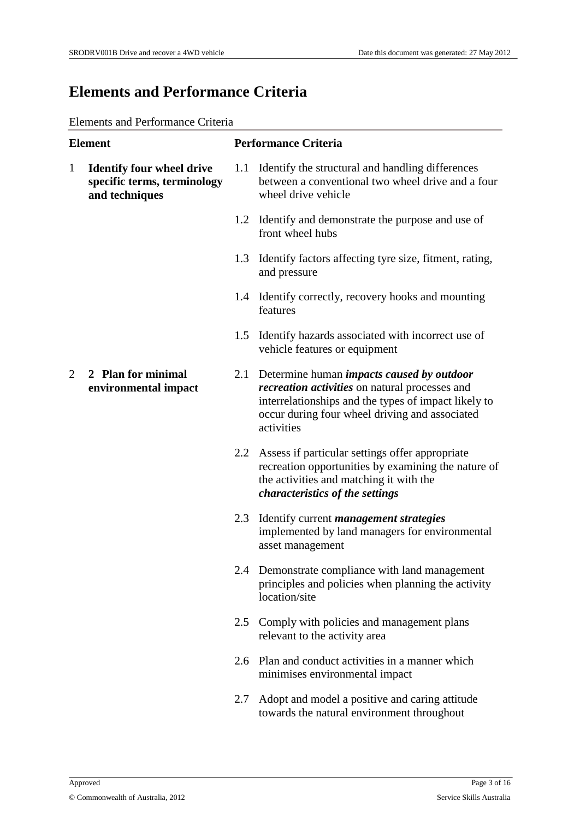## **Elements and Performance Criteria**

#### Elements and Performance Criteria

| <b>Element</b>                                                                                    |                                            |     | <b>Performance Criteria</b>                                                                                                                                                                                                    |  |  |
|---------------------------------------------------------------------------------------------------|--------------------------------------------|-----|--------------------------------------------------------------------------------------------------------------------------------------------------------------------------------------------------------------------------------|--|--|
| <b>Identify four wheel drive</b><br>$\mathbf{1}$<br>specific terms, terminology<br>and techniques |                                            |     | 1.1 Identify the structural and handling differences<br>between a conventional two wheel drive and a four<br>wheel drive vehicle                                                                                               |  |  |
|                                                                                                   |                                            |     | 1.2 Identify and demonstrate the purpose and use of<br>front wheel hubs                                                                                                                                                        |  |  |
|                                                                                                   |                                            |     | 1.3 Identify factors affecting tyre size, fitment, rating,<br>and pressure                                                                                                                                                     |  |  |
|                                                                                                   |                                            |     | 1.4 Identify correctly, recovery hooks and mounting<br>features                                                                                                                                                                |  |  |
|                                                                                                   |                                            |     | 1.5 Identify hazards associated with incorrect use of<br>vehicle features or equipment                                                                                                                                         |  |  |
| 2                                                                                                 | 2 Plan for minimal<br>environmental impact |     | 2.1 Determine human <i>impacts caused by outdoor</i><br>recreation activities on natural processes and<br>interrelationships and the types of impact likely to<br>occur during four wheel driving and associated<br>activities |  |  |
|                                                                                                   |                                            |     | 2.2 Assess if particular settings offer appropriate<br>recreation opportunities by examining the nature of<br>the activities and matching it with the<br>characteristics of the settings                                       |  |  |
|                                                                                                   |                                            |     | 2.3 Identify current <i>management strategies</i><br>implemented by land managers for environmental<br>asset management                                                                                                        |  |  |
|                                                                                                   |                                            |     | 2.4 Demonstrate compliance with land management<br>principles and policies when planning the activity<br>location/site                                                                                                         |  |  |
|                                                                                                   |                                            | 2.5 | Comply with policies and management plans<br>relevant to the activity area                                                                                                                                                     |  |  |
|                                                                                                   |                                            |     | 2.6 Plan and conduct activities in a manner which<br>minimises environmental impact                                                                                                                                            |  |  |
|                                                                                                   |                                            | 2.7 | Adopt and model a positive and caring attitude<br>towards the natural environment throughout                                                                                                                                   |  |  |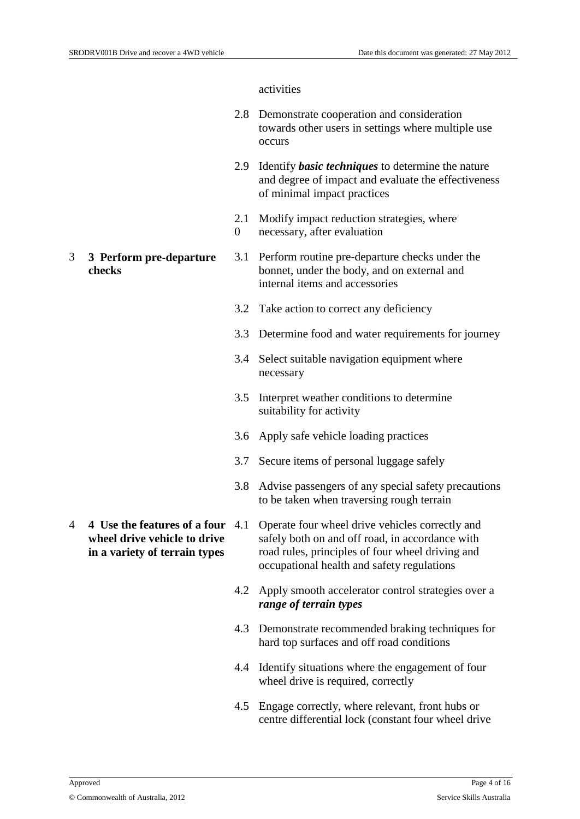#### activities

- 2.8 Demonstrate cooperation and consideration towards other users in settings where multiple use occurs
- 2.9 Identify *basic techniques* to determine the nature and degree of impact and evaluate the effectiveness of minimal impact practices
- 2.1 Modify impact reduction strategies, where
- $\Omega$ necessary, after evaluation
- 3 **3 Perform pre-departure checks** 3.1 Perform routine pre-departure checks under the bonnet, under the body, and on external and internal items and accessories
	- 3.2 Take action to correct any deficiency
	- 3.3 Determine food and water requirements for journey
	- 3.4 Select suitable navigation equipment where necessary
	- 3.5 Interpret weather conditions to determine suitability for activity
	- 3.6 Apply safe vehicle loading practices
	- 3.7 Secure items of personal luggage safely
	- 3.8 Advise passengers of any special safety precautions to be taken when traversing rough terrain
- 4 **4 Use the features of a four wheel drive vehicle to drive in a variety of terrain types** Operate four wheel drive vehicles correctly and safely both on and off road, in accordance with road rules, principles of four wheel driving and occupational health and safety regulations
	- 4.2 Apply smooth accelerator control strategies over a *range of terrain types*
	- 4.3 Demonstrate recommended braking techniques for hard top surfaces and off road conditions
	- 4.4 Identify situations where the engagement of four wheel drive is required, correctly
	- 4.5 Engage correctly, where relevant, front hubs or centre differential lock (constant four wheel drive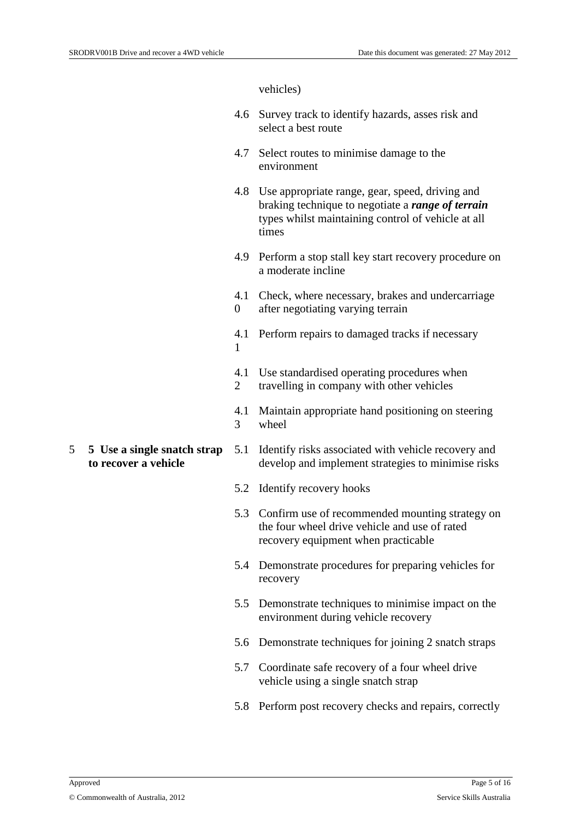vehicles)

- 4.6 Survey track to identify hazards, asses risk and select a best route
- 4.7 Select routes to minimise damage to the environment
- 4.8 Use appropriate range, gear, speed, driving and braking technique to negotiate a *range of terrain*  types whilst maintaining control of vehicle at all times
- 4.9 Perform a stop stall key start recovery procedure on a moderate incline
- 4.1 Check, where necessary, brakes and undercarriage
- $\Omega$ after negotiating varying terrain
- 4.1 Perform repairs to damaged tracks if necessary 1
- 4.1 Use standardised operating procedures when
- 2 travelling in company with other vehicles
- 4.1 Maintain appropriate hand positioning on steering 3 wheel
- 5 **5 Use a single snatch strap to recover a vehicle**
- 5.1 Identify risks associated with vehicle recovery and develop and implement strategies to minimise risks
- 5.2 Identify recovery hooks
- 5.3 Confirm use of recommended mounting strategy on the four wheel drive vehicle and use of rated recovery equipment when practicable
- 5.4 Demonstrate procedures for preparing vehicles for recovery
- 5.5 Demonstrate techniques to minimise impact on the environment during vehicle recovery
- 5.6 Demonstrate techniques for joining 2 snatch straps
- 5.7 Coordinate safe recovery of a four wheel drive vehicle using a single snatch strap
- 5.8 Perform post recovery checks and repairs, correctly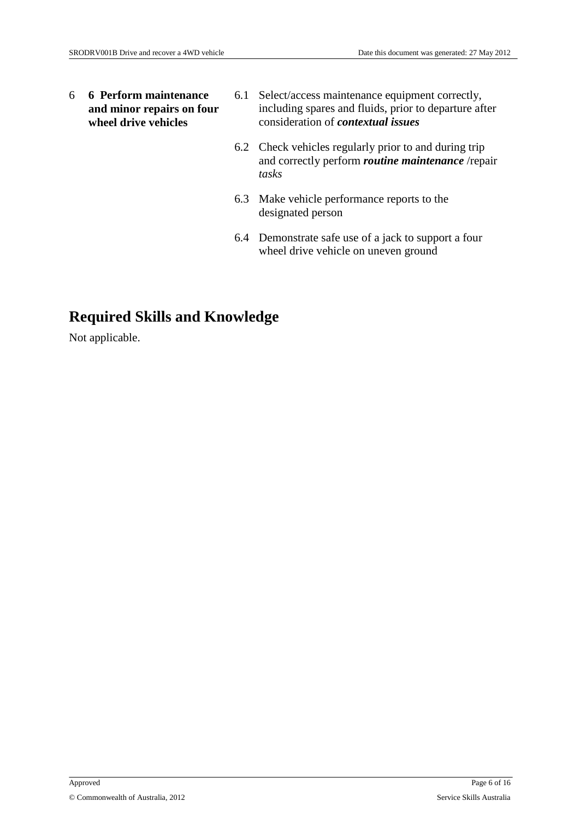6 **6 Perform maintenance and minor repairs on four wheel drive vehicles**

- 6.1 Select/access maintenance equipment correctly, including spares and fluids, prior to departure after consideration of *contextual issues*
- 6.2 Check vehicles regularly prior to and during trip and correctly perform *routine maintenance* /repair *tasks*
- 6.3 Make vehicle performance reports to the designated person
- 6.4 Demonstrate safe use of a jack to support a four wheel drive vehicle on uneven ground

# **Required Skills and Knowledge**

Not applicable.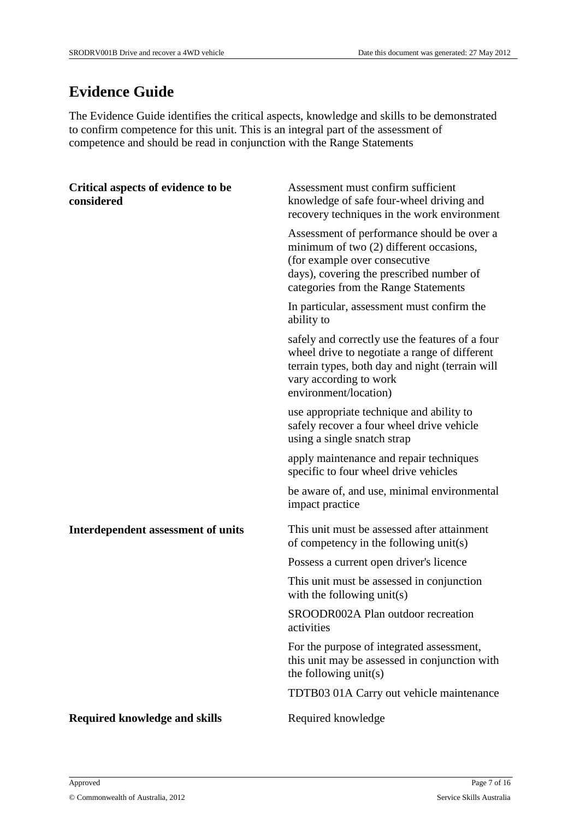# **Evidence Guide**

The Evidence Guide identifies the critical aspects, knowledge and skills to be demonstrated to confirm competence for this unit. This is an integral part of the assessment of competence and should be read in conjunction with the Range Statements

| Critical aspects of evidence to be<br>considered | Assessment must confirm sufficient<br>knowledge of safe four-wheel driving and<br>recovery techniques in the work environment                                                                              |
|--------------------------------------------------|------------------------------------------------------------------------------------------------------------------------------------------------------------------------------------------------------------|
|                                                  | Assessment of performance should be over a<br>minimum of two (2) different occasions,<br>(for example over consecutive<br>days), covering the prescribed number of<br>categories from the Range Statements |
|                                                  | In particular, assessment must confirm the<br>ability to                                                                                                                                                   |
|                                                  | safely and correctly use the features of a four<br>wheel drive to negotiate a range of different<br>terrain types, both day and night (terrain will<br>vary according to work<br>environment/location)     |
|                                                  | use appropriate technique and ability to<br>safely recover a four wheel drive vehicle<br>using a single snatch strap                                                                                       |
|                                                  | apply maintenance and repair techniques<br>specific to four wheel drive vehicles                                                                                                                           |
|                                                  | be aware of, and use, minimal environmental<br>impact practice                                                                                                                                             |
| Interdependent assessment of units               | This unit must be assessed after attainment<br>of competency in the following unit(s)                                                                                                                      |
|                                                  | Possess a current open driver's licence                                                                                                                                                                    |
|                                                  | This unit must be assessed in conjunction<br>with the following unit(s)                                                                                                                                    |
|                                                  | SROODR002A Plan outdoor recreation<br>activities                                                                                                                                                           |
|                                                  | For the purpose of integrated assessment,<br>this unit may be assessed in conjunction with<br>the following $unit(s)$                                                                                      |
|                                                  | TDTB03 01A Carry out vehicle maintenance                                                                                                                                                                   |
| <b>Required knowledge and skills</b>             | Required knowledge                                                                                                                                                                                         |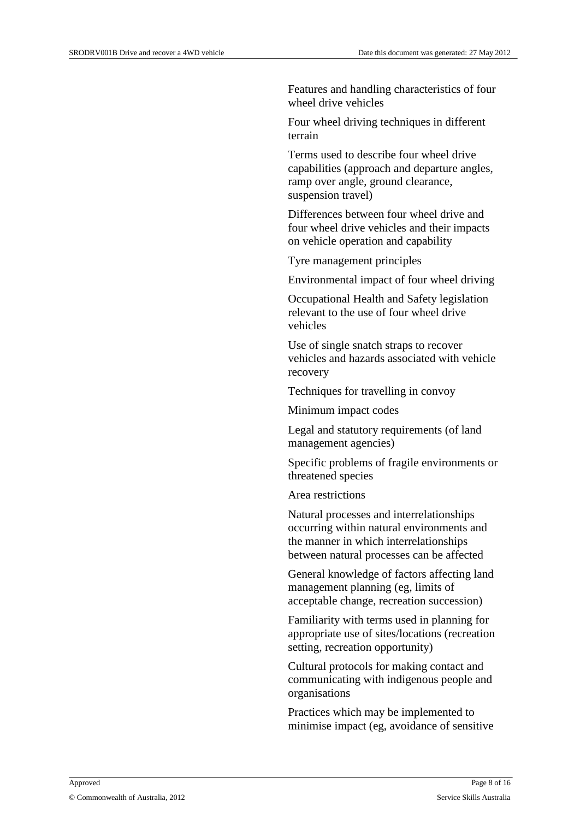Features and handling characteristics of four wheel drive vehicles

Four wheel driving techniques in different terrain

Terms used to describe four wheel drive capabilities (approach and departure angles, ramp over angle, ground clearance, suspension travel)

Differences between four wheel drive and four wheel drive vehicles and their impacts on vehicle operation and capability

Tyre management principles

Environmental impact of four wheel driving

Occupational Health and Safety legislation relevant to the use of four wheel drive vehicles

Use of single snatch straps to recover vehicles and hazards associated with vehicle recovery

Techniques for travelling in convoy

Minimum impact codes

Legal and statutory requirements (of land management agencies)

Specific problems of fragile environments or threatened species

Area restrictions

Natural processes and interrelationships occurring within natural environments and the manner in which interrelationships between natural processes can be affected

General knowledge of factors affecting land management planning (eg, limits of acceptable change, recreation succession)

Familiarity with terms used in planning for appropriate use of sites/locations (recreation setting, recreation opportunity)

Cultural protocols for making contact and communicating with indigenous people and organisations

Practices which may be implemented to minimise impact (eg, avoidance of sensitive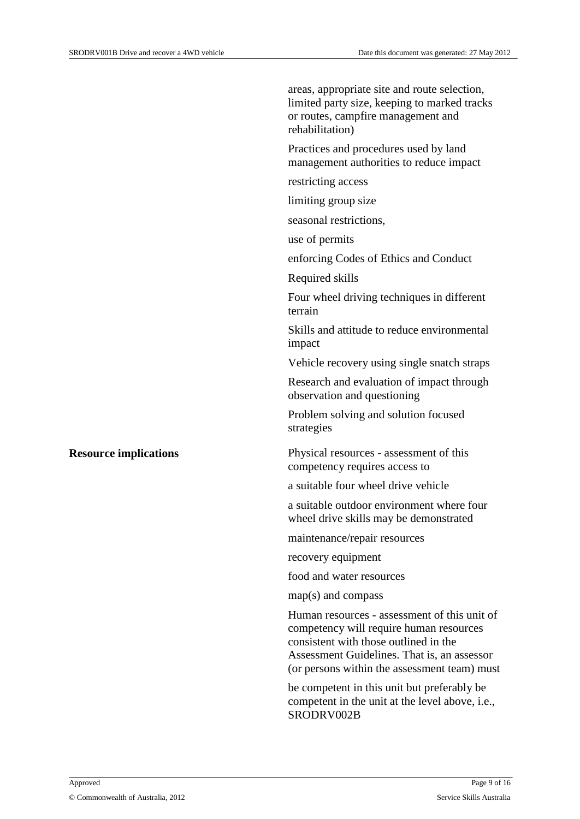|                              | areas, appropriate site and route selection,<br>limited party size, keeping to marked tracks<br>or routes, campfire management and<br>rehabilitation)                                                                           |
|------------------------------|---------------------------------------------------------------------------------------------------------------------------------------------------------------------------------------------------------------------------------|
|                              | Practices and procedures used by land<br>management authorities to reduce impact                                                                                                                                                |
|                              | restricting access                                                                                                                                                                                                              |
|                              | limiting group size                                                                                                                                                                                                             |
|                              | seasonal restrictions,                                                                                                                                                                                                          |
|                              | use of permits                                                                                                                                                                                                                  |
|                              | enforcing Codes of Ethics and Conduct                                                                                                                                                                                           |
|                              | Required skills                                                                                                                                                                                                                 |
|                              | Four wheel driving techniques in different<br>terrain                                                                                                                                                                           |
|                              | Skills and attitude to reduce environmental<br>impact                                                                                                                                                                           |
|                              | Vehicle recovery using single snatch straps                                                                                                                                                                                     |
|                              | Research and evaluation of impact through<br>observation and questioning                                                                                                                                                        |
|                              | Problem solving and solution focused<br>strategies                                                                                                                                                                              |
| <b>Resource implications</b> | Physical resources - assessment of this<br>competency requires access to                                                                                                                                                        |
|                              | a suitable four wheel drive vehicle                                                                                                                                                                                             |
|                              | a suitable outdoor environment where four<br>wheel drive skills may be demonstrated                                                                                                                                             |
|                              | maintenance/repair resources                                                                                                                                                                                                    |
|                              | recovery equipment                                                                                                                                                                                                              |
|                              | food and water resources                                                                                                                                                                                                        |
|                              | $map(s)$ and compass                                                                                                                                                                                                            |
|                              | Human resources - assessment of this unit of<br>competency will require human resources<br>consistent with those outlined in the<br>Assessment Guidelines. That is, an assessor<br>(or persons within the assessment team) must |
|                              | be competent in this unit but preferably be<br>competent in the unit at the level above, i.e.,<br>SRODRV002B                                                                                                                    |
|                              |                                                                                                                                                                                                                                 |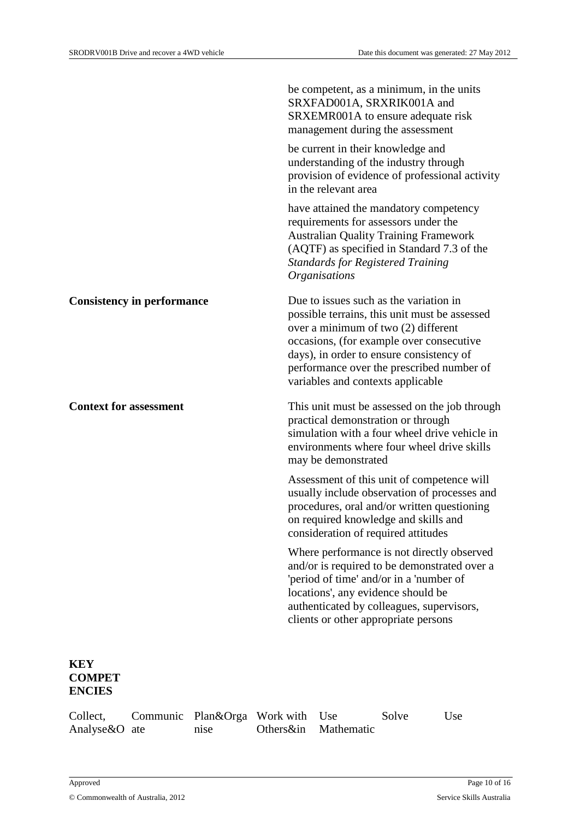|                                   | be competent, as a minimum, in the units<br>SRXFAD001A, SRXRIK001A and<br>SRXEMR001A to ensure adequate risk<br>management during the assessment                                                                                                                                                           |
|-----------------------------------|------------------------------------------------------------------------------------------------------------------------------------------------------------------------------------------------------------------------------------------------------------------------------------------------------------|
|                                   | be current in their knowledge and<br>understanding of the industry through<br>provision of evidence of professional activity<br>in the relevant area                                                                                                                                                       |
|                                   | have attained the mandatory competency<br>requirements for assessors under the<br><b>Australian Quality Training Framework</b><br>(AQTF) as specified in Standard 7.3 of the<br><b>Standards for Registered Training</b><br><i><b>Organisations</b></i>                                                    |
| <b>Consistency in performance</b> | Due to issues such as the variation in<br>possible terrains, this unit must be assessed<br>over a minimum of two $(2)$ different<br>occasions, (for example over consecutive<br>days), in order to ensure consistency of<br>performance over the prescribed number of<br>variables and contexts applicable |
| <b>Context for assessment</b>     | This unit must be assessed on the job through<br>practical demonstration or through                                                                                                                                                                                                                        |
|                                   | simulation with a four wheel drive vehicle in<br>environments where four wheel drive skills<br>may be demonstrated                                                                                                                                                                                         |
|                                   | Assessment of this unit of competence will<br>usually include observation of processes and<br>procedures, oral and/or written questioning<br>on required knowledge and skills and<br>consideration of required attitudes                                                                                   |
|                                   | Where performance is not directly observed<br>and/or is required to be demonstrated over a<br>'period of time' and/or in a 'number of<br>locations', any evidence should be<br>authenticated by colleagues, supervisors,<br>clients or other appropriate persons                                           |

| Collect,      | Communic Plan&Orga Work with Use |                    | Solve | Use |
|---------------|----------------------------------|--------------------|-------|-----|
| Analyse&O ate | n <sub>1se</sub>                 | Others∈ Mathematic |       |     |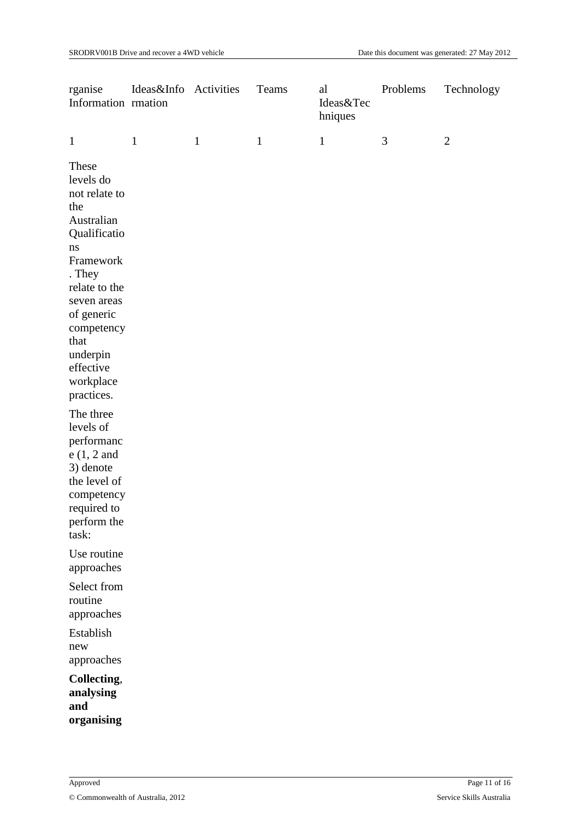| rganise<br>Information rmation                                                                                                                                                                                                      | Ideas&Info Activities |              | Teams        | al<br>Ideas&Tec<br>hniques | Problems       | Technology     |
|-------------------------------------------------------------------------------------------------------------------------------------------------------------------------------------------------------------------------------------|-----------------------|--------------|--------------|----------------------------|----------------|----------------|
| $\mathbf{1}$                                                                                                                                                                                                                        | $\mathbf{1}$          | $\mathbf{1}$ | $\mathbf{1}$ | $\mathbf{1}$               | $\mathfrak{Z}$ | $\overline{2}$ |
| These<br>levels do<br>not relate to<br>the<br>Australian<br>Qualificatio<br>$\bf ns$<br>Framework<br>. They<br>relate to the<br>seven areas<br>of generic<br>competency<br>that<br>underpin<br>effective<br>workplace<br>practices. |                       |              |              |                            |                |                |
| The three<br>levels of<br>performanc<br>$e(1, 2$ and<br>3) denote<br>the level of<br>competency<br>required to<br>perform the<br>task:                                                                                              |                       |              |              |                            |                |                |
| Use routine<br>approaches                                                                                                                                                                                                           |                       |              |              |                            |                |                |
| Select from<br>routine<br>approaches                                                                                                                                                                                                |                       |              |              |                            |                |                |
| Establish<br>new<br>approaches                                                                                                                                                                                                      |                       |              |              |                            |                |                |
| Collecting,<br>analysing<br>and<br>organising                                                                                                                                                                                       |                       |              |              |                            |                |                |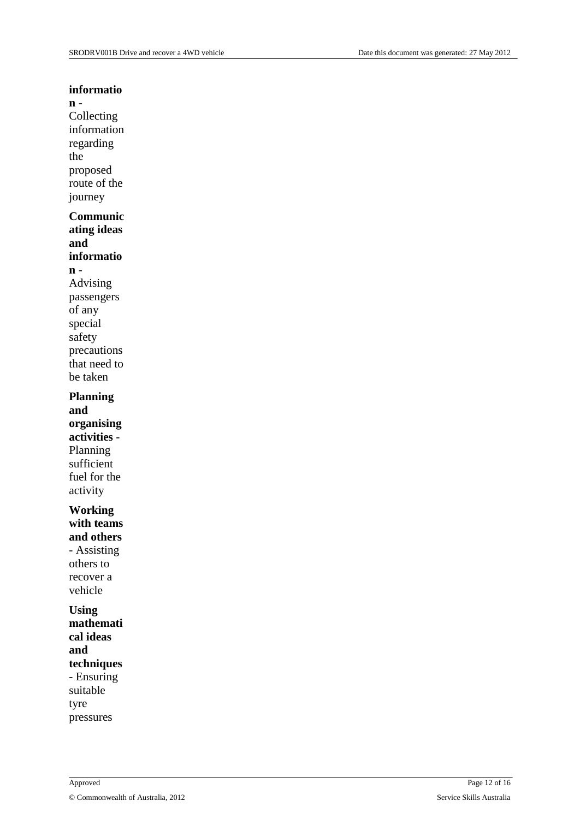#### **informatio**

### **n** -

Collecting information regarding the proposed route of the journey

### **Communic**

**ating ideas and** 

### **informatio**

**n** - Advising passengers of any special safety

precautions that need to be taken **Planning** 

**and organising activities** - Planning sufficient fuel for the activity

#### **Working with teams and others**

- Assisting others to recover a vehicle

#### **Using**

**mathemati cal ideas and techniques** - Ensuring suitable tyre pressures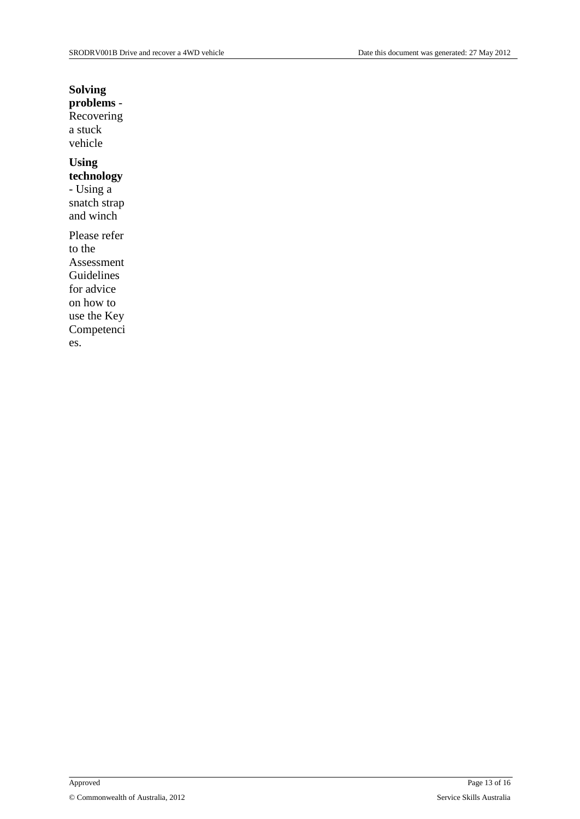### **Solving**

**problems** - **Recovering** a stuck vehicle

## **Using**

**technology** - Using a snatch strap

and winch

Please refer to the Assessment Guidelines for advice on how to use the Key Competenci es.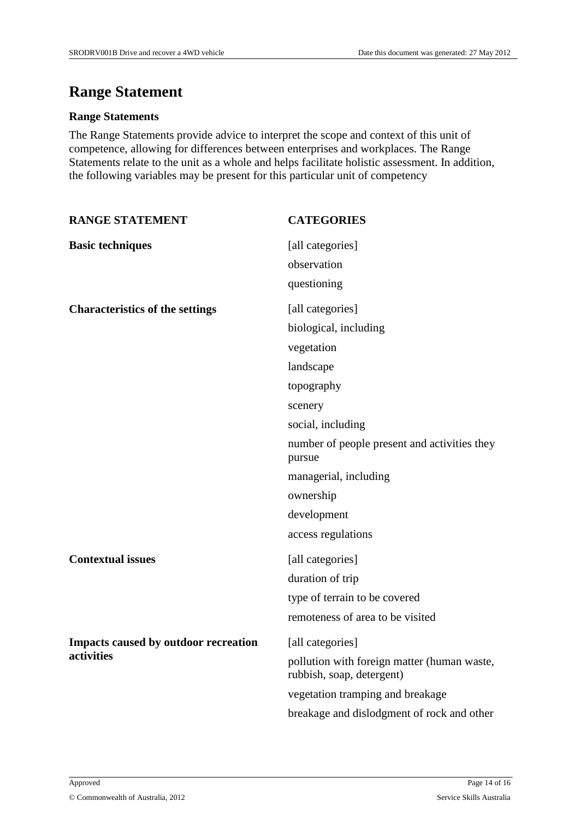## **Range Statement**

### **Range Statements**

The Range Statements provide advice to interpret the scope and context of this unit of competence, allowing for differences between enterprises and workplaces. The Range Statements relate to the unit as a whole and helps facilitate holistic assessment. In addition, the following variables may be present for this particular unit of competency

| <b>RANGE STATEMENT</b>                 | <b>CATEGORIES</b>                                                        |
|----------------------------------------|--------------------------------------------------------------------------|
| <b>Basic techniques</b>                | [all categories]                                                         |
|                                        | observation                                                              |
|                                        | questioning                                                              |
| <b>Characteristics of the settings</b> | [all categories]                                                         |
|                                        | biological, including                                                    |
|                                        | vegetation                                                               |
|                                        | landscape                                                                |
|                                        | topography                                                               |
|                                        | scenery                                                                  |
|                                        | social, including                                                        |
|                                        | number of people present and activities they<br>pursue                   |
|                                        | managerial, including                                                    |
|                                        | ownership                                                                |
|                                        | development                                                              |
|                                        | access regulations                                                       |
| <b>Contextual issues</b>               | [all categories]                                                         |
|                                        | duration of trip                                                         |
|                                        | type of terrain to be covered                                            |
|                                        | remoteness of area to be visited                                         |
| Impacts caused by outdoor recreation   | [all categories]                                                         |
| activities                             | pollution with foreign matter (human waste,<br>rubbish, soap, detergent) |
|                                        | vegetation tramping and breakage                                         |
|                                        | breakage and dislodgment of rock and other                               |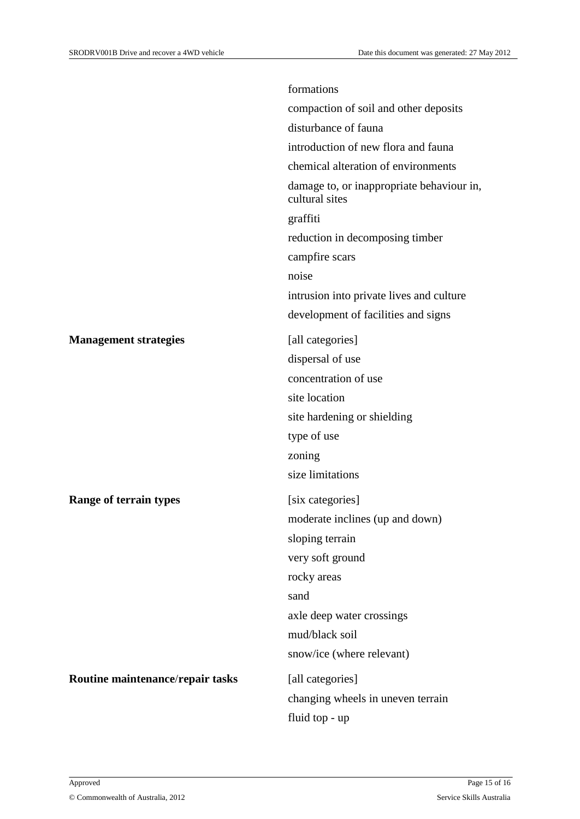|                                  | formations                                                  |
|----------------------------------|-------------------------------------------------------------|
|                                  | compaction of soil and other deposits                       |
|                                  | disturbance of fauna                                        |
|                                  | introduction of new flora and fauna                         |
|                                  | chemical alteration of environments                         |
|                                  | damage to, or inappropriate behaviour in,<br>cultural sites |
|                                  | graffiti                                                    |
|                                  | reduction in decomposing timber                             |
|                                  | campfire scars                                              |
|                                  | noise                                                       |
|                                  | intrusion into private lives and culture                    |
|                                  | development of facilities and signs                         |
| <b>Management strategies</b>     | [all categories]                                            |
|                                  | dispersal of use                                            |
|                                  | concentration of use                                        |
|                                  | site location                                               |
|                                  | site hardening or shielding                                 |
|                                  | type of use                                                 |
|                                  | zoning                                                      |
|                                  | size limitations                                            |
| <b>Range of terrain types</b>    | [six categories]                                            |
|                                  | moderate inclines (up and down)                             |
|                                  | sloping terrain                                             |
|                                  | very soft ground                                            |
|                                  | rocky areas                                                 |
|                                  | sand                                                        |
|                                  | axle deep water crossings                                   |
|                                  | mud/black soil                                              |
|                                  | snow/ice (where relevant)                                   |
| Routine maintenance/repair tasks | [all categories]                                            |
|                                  | changing wheels in uneven terrain                           |
|                                  | fluid top - up                                              |